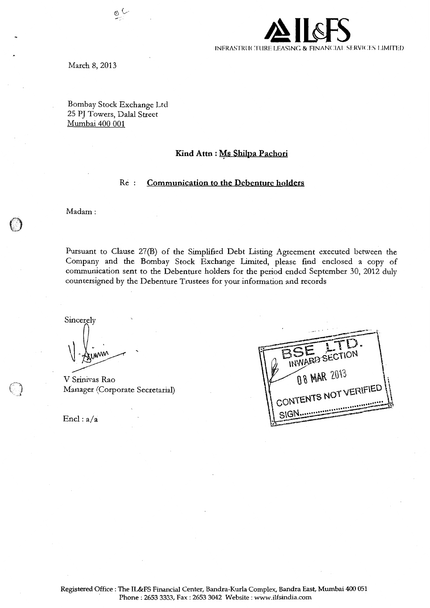INFRASTRUCTURE LEASING & FINANCIAL SERVICES LIMITED

March 8, 2013

Bombay Stock Exchange Ltd 25 PJ Towers, Dalal Street Mumbai 400 001

 $\mathcal{Q}$  (

## **Kind Attn : Ms Shilpa Pachori**

#### Re **Communication to the Debenture holders**

Madam:

()

Pursuant to Clause 27(B) of the Simplified Debt Listing Agreement executed between the Company and the Bombay Stock Exchange Limited, please find enclosed a copy of communication sent to the Debenture holders for the period ended September 30, 2012 duly countersigned by the Debenture Trustees for your information and records

Sincerely

V Srinivas Rao Manager (Corporate Secretarial)

 $\text{End}: a/a$ 

| INWARD SECTION        |  |
|-----------------------|--|
|                       |  |
| 08 MAR 2013           |  |
| CONTENTS NOT VERIFIED |  |
|                       |  |
| SIGN                  |  |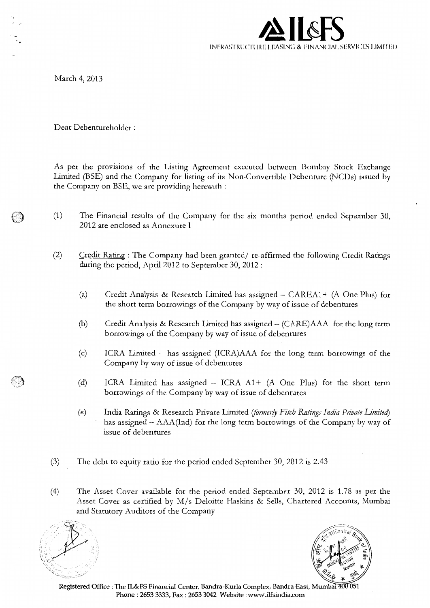

March 4, 2013

Dear Debentureholder :

As per the provisions of the Listing Agreement executed between Bombay Stock Exchange Limited (BSE) and the Company for listing of its Non-Convertible Debenture (NCDs) issued by the Company on BSE, we are providing herewith :

- (1) The Financial results of the Company for the six months period ended September 30, 2012 are enclosed as Annexure I
- (2) Credit Rating : The Company had been granted/ re-affirmed the following Credit Ratings during the period, April 2012 to September 30, 2012:
	- (a) Credit Analysis & Research Limited has assigned  $-$  CAREA1+ (A One Plus) for the short term borrowings of the Company by way of issue of debentures
	- (b) Credit Analysis & Research Limited has assigned (CARE)AAA for the long term borrowings of the Company by way of issue of debentures
	- (c) ICRA Limited has assigned (ICRA)AAA for the long term borrowings of the Company by way of issue of debentures
	- (d) ICRA Limited has assigned  $-$  ICRA  $A1+$  (A One Plus) for the short term borrowings of the Company by way of issue of debentures
	- (e) India Ratings & Research Private Limited *iformer/y Fitch Ratings India Private Limited)*  has assigned - AAA(Ind) for the long term borrowings of the Company by way of issue of debentures
- (3) The debt to equity ratio for the period ended September 30, 2012 is 2.43
- (4) The Asset Cover available for the period ended September 30, 2012 is 1.78 as per the Asset Cover as certified by M/s Deloitte Haskins & Sells, Chartered Accounts, Mumbai and Statutory Auditors of the Company





Registered Office : The IL&FS Financial Center, Bandra-Kurla Complex, Bandra East, Mumbai 400 Phone: 2653 3333, Fax: 2653 3042 Website: www.ilfsindia.com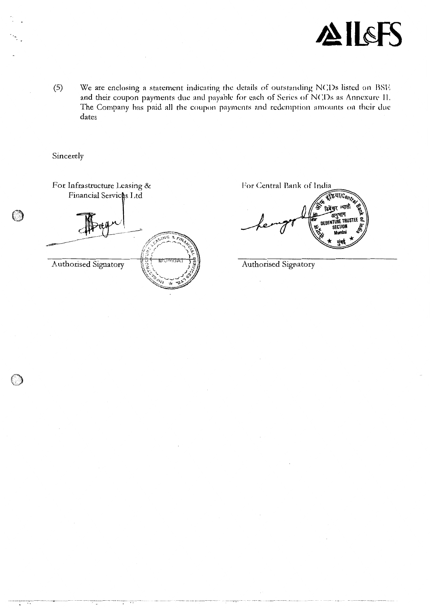

 $(5)$ We are enclosing a statement indicating the details of outstanding NCDs listed on BSE and their coupon payments due and payable for each of Series of NCDs as Annexure II. The Company has paid all the coupon payments and redemption amounts on their due dates

Sincerely

 $\bigcap$ 

For Infrastructure Leasing & Financial Services Ltd  $\sqrt{1 + \frac{1}{2}}$ Authorised Signatory

For Central Bank of India

TE VIICon िबेचर

Authorised Signatory

 $\overline{\phantom{a}}$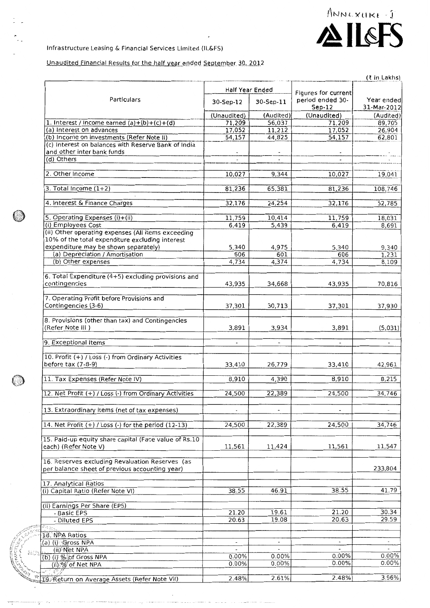ANNEXURE

義法

# Unaudited Financial Results for the half year ended September 30, 2012

|                                                                          |                          |                          |                              | (₹ in Lakhs)              |  |
|--------------------------------------------------------------------------|--------------------------|--------------------------|------------------------------|---------------------------|--|
|                                                                          | Half Year Ended          |                          | Figures for current          |                           |  |
| Particulars                                                              | 30-Sep-12<br>30-Sep-11   |                          | period ended 30-<br>$Sep-12$ | Year ended<br>31-Mar-2012 |  |
|                                                                          | (Unaudited)              | (Audited)                | (Unaudited)                  | (Audited)                 |  |
| 1. Interest / Income earned $(a)+(b)+(c)+(d)$                            | 71,209                   | 56,037                   | 71,209                       | 89,705                    |  |
| (a) Interest on advances                                                 | 17,052                   | 11,212                   | 17,052                       | 26,904                    |  |
| (b) Income on investments (Refer Note II)                                | 54,157                   | 44,825                   | 54,157                       | 62,801                    |  |
| (c) Interest on balances with Reserve Bank of India                      |                          |                          |                              |                           |  |
| and other inter bank funds<br>(d) Others                                 | $\mathcal{L}$            |                          |                              |                           |  |
|                                                                          |                          |                          |                              |                           |  |
| 2. Other Income                                                          | 10,027                   | 9,344                    | 10,027                       | 19,041                    |  |
|                                                                          |                          |                          |                              |                           |  |
| 3. Total Income $(1+2)$                                                  | 81,236                   | 65,381                   | 81,236                       | 108,746                   |  |
|                                                                          |                          |                          |                              |                           |  |
| 4. Interest & Finance Charges                                            | 32,176                   | 24,254                   | 32,176                       | 52,785                    |  |
| 5. Operating Expenses (i)+(ii)                                           | 11,759                   | 10,414                   | 11,759                       | 18,031                    |  |
| (i) Employees Cost                                                       | 6,419                    | 5,439                    | 6,419                        | 8,691                     |  |
| (ii) Other operating expenses (All items exceeding                       |                          |                          |                              |                           |  |
| 10% of the total expenditure excluding interest                          |                          |                          |                              |                           |  |
| expenditure may be shown separately)                                     | 5,340                    | 4,975                    | 5,340                        | 9,340                     |  |
| (a) Depreciation / Amortisation                                          | 606                      | 601                      | 606                          | 1,231                     |  |
| (b) Other expenses                                                       | 4,734                    | 4,374                    | 4,734                        | 8,109                     |  |
|                                                                          |                          |                          |                              |                           |  |
| 6. Total Expenditure (4+5) excluding provisions and                      |                          |                          |                              |                           |  |
| contingencies                                                            | 43,935                   | 34,668                   | 43,935                       | 70,816                    |  |
| 7. Operating Profit before Provisions and                                |                          |                          |                              |                           |  |
| Contingencies (3-6)                                                      | 37,301                   | 30,713                   | 37,301                       | 37,930                    |  |
|                                                                          |                          |                          |                              |                           |  |
| 8. Provisions (other than tax) and Contingencies                         |                          |                          |                              |                           |  |
| (Refer Note III )                                                        | 3,891                    | 3,934                    | 3,891                        | (5,031)                   |  |
|                                                                          |                          |                          |                              |                           |  |
| 9. Exceptional Items                                                     |                          |                          |                              |                           |  |
|                                                                          |                          |                          |                              |                           |  |
| 10. Profit (+) / Loss (-) from Ordinary Activities<br>before tax (7-8-9) |                          |                          |                              |                           |  |
|                                                                          | 33,410                   | 26,779                   | 33,410                       | 42,961                    |  |
| 11. Tax Expenses (Refer Note IV)                                         | 8,910                    | 4,390                    | 8,910                        | 8,215                     |  |
|                                                                          |                          |                          |                              |                           |  |
| 12. Net Profit (+) / Loss (-) from Ordinary Activities                   | 24,500                   | 22,389                   | 24,500                       | 34,746                    |  |
|                                                                          |                          |                          |                              |                           |  |
| 13. Extraordinary items (net of tax expenses)                            | $\overline{\phantom{a}}$ | $\overline{\phantom{a}}$ | $\overline{\phantom{a}}$     |                           |  |
| 14. Net Profit $(+)$ / Loss $(-)$ for the period $(12-13)$               | 24,500                   | 22,389                   | 24,500                       | 34,746                    |  |
|                                                                          |                          |                          |                              |                           |  |
| 15. Paid-up equity share capital (Face value of Rs.10                    |                          |                          |                              |                           |  |
| each) (Refer Note V)                                                     | 11,561                   | 11,424                   | 11,561                       | 11,547                    |  |
|                                                                          |                          |                          |                              |                           |  |
| 16. Reserves excluding Revaluation Reserves (as                          |                          |                          |                              |                           |  |
| per balance sheet of previous accounting year)                           |                          |                          |                              | 233,804                   |  |
|                                                                          |                          |                          |                              |                           |  |
| 17. Analytical Ratios                                                    |                          |                          |                              |                           |  |
| (i) Capital Ratio (Refer Note VI)                                        | 38.55                    | 46.91                    | 38.55                        | 41.79                     |  |
|                                                                          |                          |                          |                              |                           |  |
| (ii) Earnings Per Share (EPS)<br>- Basic EPS                             | 21.20                    | 19.61                    | 21.20                        | 30.34                     |  |
| - Diluted EPS                                                            | 20.63                    | 19.08                    | 20.63                        | 29.59                     |  |
| 27 F                                                                     |                          |                          |                              |                           |  |
| 18. NPA Ratios                                                           |                          |                          |                              |                           |  |
| (a) (i) Gross NPA                                                        |                          |                          |                              | $\overline{\phantom{a}}$  |  |
| (ii) Net NPA                                                             | $\overline{\phantom{a}}$ |                          |                              |                           |  |
| (b) (i) % of Gross NPA                                                   | 0.00%                    | 0.00%                    | 0.00%                        | $0.00\%$                  |  |
| (ii) % of Net NPA                                                        | 0.00%                    | 0.00%                    | 0.00%                        | $0.00\%$                  |  |
|                                                                          |                          |                          |                              |                           |  |
| 19 Return on Average Assets (Refer Note VII)                             | 2.48%                    | 2.61%                    | 2.48%                        | 3.96%                     |  |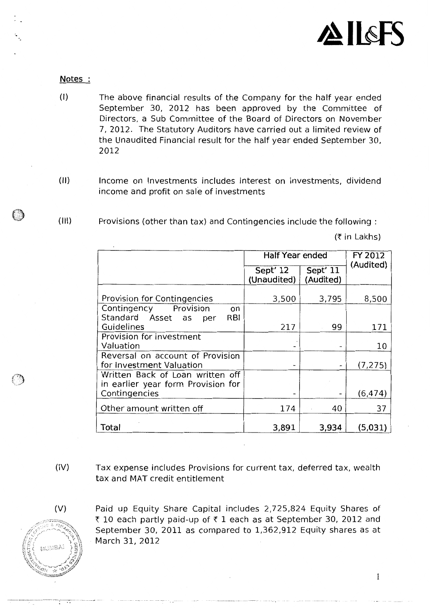

Notes

·.

- (I) The above financial results of the Company for the half year ended September 30, 2012 has been approved by the Committee of Directors, a Sub Committee of the Board of Directors on November 7, 2012. The Statutory Auditors have carried out a limited review of the Unaudited Financial result for the half year ended September 30, 2012
- (II) Income on Investments includes interest on investments, dividend income and profit on sale of investments
- (Ill) Provisions (other than tax) and Contingencies include the following :

 $(†$  in Lakhs)

|                                                                        | <b>Half Year ended</b>  | <b>FY 2012</b><br>(Audited) |          |
|------------------------------------------------------------------------|-------------------------|-----------------------------|----------|
|                                                                        | Sept' 12<br>(Unaudited) | Sept' 11<br>(Audited)       |          |
| <b>Provision for Contingencies</b>                                     | 3,500                   | 3,795                       | 8,500    |
| Contingency Provision<br>on<br>Standard Asset as<br><b>RBI</b><br>per  |                         |                             |          |
| Guidelines                                                             | 217                     | 99                          | 171      |
| Provision for investment<br>Valuation                                  |                         |                             | 10       |
| Reversal on account of Provision<br>for Investment Valuation           |                         |                             | (7, 275) |
| Written Back of Loan written off<br>in earlier year form Provision for |                         |                             |          |
| Contingencies                                                          |                         |                             | (6, 474) |
| Other amount written off                                               | 174                     | 40                          | 37       |
| Total                                                                  | 3,891                   | 3,934                       | (5,031)  |

(IV) Tax expense includes Provisions for current tax, deferred tax, wealth tax and MAT credit entitlement



*C)* 

(V) Paid up Equity Share Capital includes 2,725,824 Equity Shares of ₹ 10 each partly paid-up of  $\bar{x}$  1 each as at September 30, 2012 and September 30, 2011 as compared to 1,362,912 Equity shares as at March 31, 2012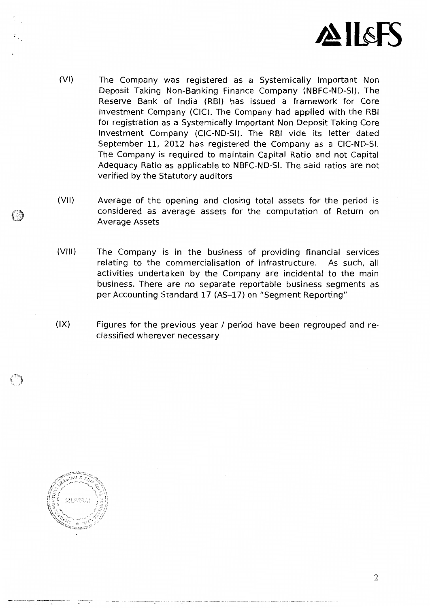

- (VI) The Company was registered as a Systemically Important Non Deposit Taking Non-Banking Finance Company (NBFC-ND-SI). The Reserve Bank of India (RBI) has issued a framework for Core Investment Company (CIC). The Company had applied with the RBI for registration as a Systemically Important Non Deposit Taking Core Investment Company (CIC-ND-SI). The RBI vide its letter dated September 11, 2012 has registered the Company as a CIC-ND-SI. The Company is required to maintain Capital Ratio and not Capital Adequacy Ratio as applicable to NBFC-ND-SI. The said ratios are not verified by the Statutory auditors
- (VII) Average of the opening and closing total assets for the period is considered as average assets for the computation of Return on Average Assets
- (VIII) The Company is in the business of providing financial services relating to the commercialisation of infrastructure. As such, all activities undertaken by the Company are incidental to the main business. There are no separate reportable business segments as per Accounting Standard 17 (AS-17) on "Segment Reporting"
- (IX) Figures for the previous year / period have been regrouped and reclassified wherever necessary



()

2